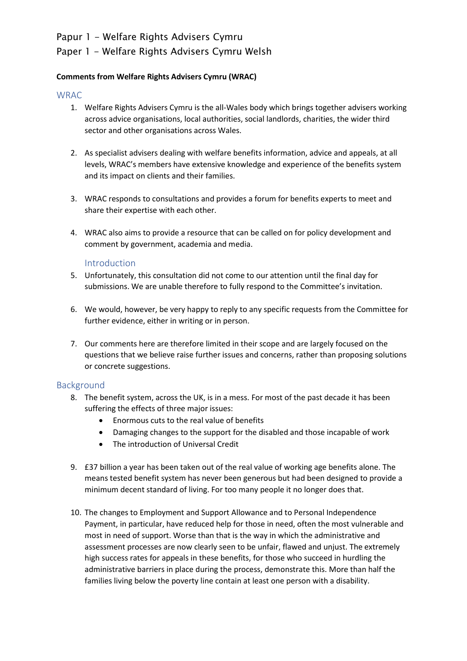# Papur 1 - Welfare Rights Advisers Cymru

# Paper 1 - Welfare Rights Advisers Cymru Welsh

## **Comments from Welfare Rights Advisers Cymru (WRAC)**

### **WRAC**

- 1. Welfare Rights Advisers Cymru is the all-Wales body which brings together advisers working across advice organisations, local authorities, social landlords, charities, the wider third sector and other organisations across Wales.
- 2. As specialist advisers dealing with welfare benefits information, advice and appeals, at all levels, WRAC's members have extensive knowledge and experience of the benefits system and its impact on clients and their families.
- 3. WRAC responds to consultations and provides a forum for benefits experts to meet and share their expertise with each other.
- 4. WRAC also aims to provide a resource that can be called on for policy development and comment by government, academia and media.

#### Introduction

- 5. Unfortunately, this consultation did not come to our attention until the final day for submissions. We are unable therefore to fully respond to the Committee's invitation.
- 6. We would, however, be very happy to reply to any specific requests from the Committee for further evidence, either in writing or in person.
- 7. Our comments here are therefore limited in their scope and are largely focused on the questions that we believe raise further issues and concerns, rather than proposing solutions or concrete suggestions.

## Background

- 8. The benefit system, across the UK, is in a mess. For most of the past decade it has been suffering the effects of three major issues:
	- Enormous cuts to the real value of benefits
	- Damaging changes to the support for the disabled and those incapable of work
	- The introduction of Universal Credit
- 9. £37 billion a year has been taken out of the real value of working age benefits alone. The means tested benefit system has never been generous but had been designed to provide a minimum decent standard of living. For too many people it no longer does that.
- 10. The changes to Employment and Support Allowance and to Personal Independence Payment, in particular, have reduced help for those in need, often the most vulnerable and most in need of support. Worse than that is the way in which the administrative and assessment processes are now clearly seen to be unfair, flawed and unjust. The extremely high success rates for appeals in these benefits, for those who succeed in hurdling the administrative barriers in place during the process, demonstrate this. More than half the families living below the poverty line contain at least one person with a disability.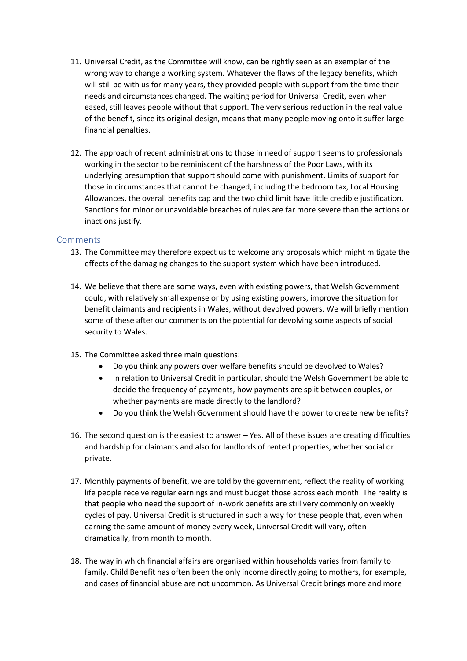- 11. Universal Credit, as the Committee will know, can be rightly seen as an exemplar of the wrong way to change a working system. Whatever the flaws of the legacy benefits, which will still be with us for many years, they provided people with support from the time their needs and circumstances changed. The waiting period for Universal Credit, even when eased, still leaves people without that support. The very serious reduction in the real value of the benefit, since its original design, means that many people moving onto it suffer large financial penalties.
- 12. The approach of recent administrations to those in need of support seems to professionals working in the sector to be reminiscent of the harshness of the Poor Laws, with its underlying presumption that support should come with punishment. Limits of support for those in circumstances that cannot be changed, including the bedroom tax, Local Housing Allowances, the overall benefits cap and the two child limit have little credible justification. Sanctions for minor or unavoidable breaches of rules are far more severe than the actions or inactions justify.

## Comments

- 13. The Committee may therefore expect us to welcome any proposals which might mitigate the effects of the damaging changes to the support system which have been introduced.
- 14. We believe that there are some ways, even with existing powers, that Welsh Government could, with relatively small expense or by using existing powers, improve the situation for benefit claimants and recipients in Wales, without devolved powers. We will briefly mention some of these after our comments on the potential for devolving some aspects of social security to Wales.
- 15. The Committee asked three main questions:
	- Do you think any powers over welfare benefits should be devolved to Wales?
	- In relation to Universal Credit in particular, should the Welsh Government be able to decide the frequency of payments, how payments are split between couples, or whether payments are made directly to the landlord?
	- Do you think the Welsh Government should have the power to create new benefits?
- 16. The second question is the easiest to answer Yes. All of these issues are creating difficulties and hardship for claimants and also for landlords of rented properties, whether social or private.
- 17. Monthly payments of benefit, we are told by the government, reflect the reality of working life people receive regular earnings and must budget those across each month. The reality is that people who need the support of in-work benefits are still very commonly on weekly cycles of pay. Universal Credit is structured in such a way for these people that, even when earning the same amount of money every week, Universal Credit will vary, often dramatically, from month to month.
- 18. The way in which financial affairs are organised within households varies from family to family. Child Benefit has often been the only income directly going to mothers, for example, and cases of financial abuse are not uncommon. As Universal Credit brings more and more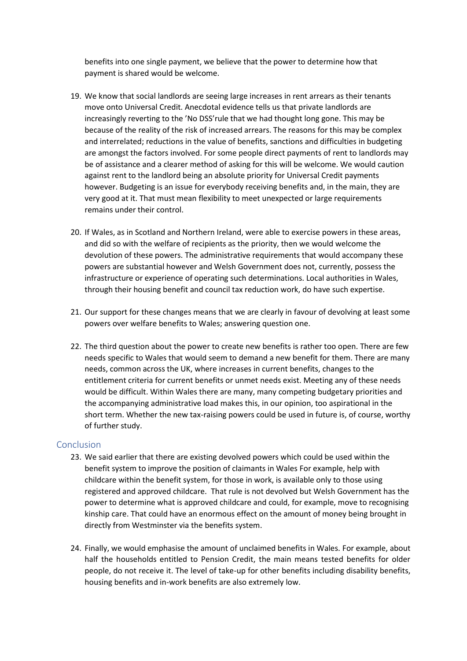benefits into one single payment, we believe that the power to determine how that payment is shared would be welcome.

- 19. We know that social landlords are seeing large increases in rent arrears as their tenants move onto Universal Credit. Anecdotal evidence tells us that private landlords are increasingly reverting to the 'No DSS'rule that we had thought long gone. This may be because of the reality of the risk of increased arrears. The reasons for this may be complex and interrelated; reductions in the value of benefits, sanctions and difficulties in budgeting are amongst the factors involved. For some people direct payments of rent to landlords may be of assistance and a clearer method of asking for this will be welcome. We would caution against rent to the landlord being an absolute priority for Universal Credit payments however. Budgeting is an issue for everybody receiving benefits and, in the main, they are very good at it. That must mean flexibility to meet unexpected or large requirements remains under their control.
- 20. If Wales, as in Scotland and Northern Ireland, were able to exercise powers in these areas, and did so with the welfare of recipients as the priority, then we would welcome the devolution of these powers. The administrative requirements that would accompany these powers are substantial however and Welsh Government does not, currently, possess the infrastructure or experience of operating such determinations. Local authorities in Wales, through their housing benefit and council tax reduction work, do have such expertise.
- 21. Our support for these changes means that we are clearly in favour of devolving at least some powers over welfare benefits to Wales; answering question one.
- 22. The third question about the power to create new benefits is rather too open. There are few needs specific to Wales that would seem to demand a new benefit for them. There are many needs, common across the UK, where increases in current benefits, changes to the entitlement criteria for current benefits or unmet needs exist. Meeting any of these needs would be difficult. Within Wales there are many, many competing budgetary priorities and the accompanying administrative load makes this, in our opinion, too aspirational in the short term. Whether the new tax-raising powers could be used in future is, of course, worthy of further study.

## Conclusion

- 23. We said earlier that there are existing devolved powers which could be used within the benefit system to improve the position of claimants in Wales For example, help with childcare within the benefit system, for those in work, is available only to those using registered and approved childcare. That rule is not devolved but Welsh Government has the power to determine what is approved childcare and could, for example, move to recognising kinship care. That could have an enormous effect on the amount of money being brought in directly from Westminster via the benefits system.
- 24. Finally, we would emphasise the amount of unclaimed benefits in Wales. For example, about half the households entitled to Pension Credit, the main means tested benefits for older people, do not receive it. The level of take-up for other benefits including disability benefits, housing benefits and in-work benefits are also extremely low.